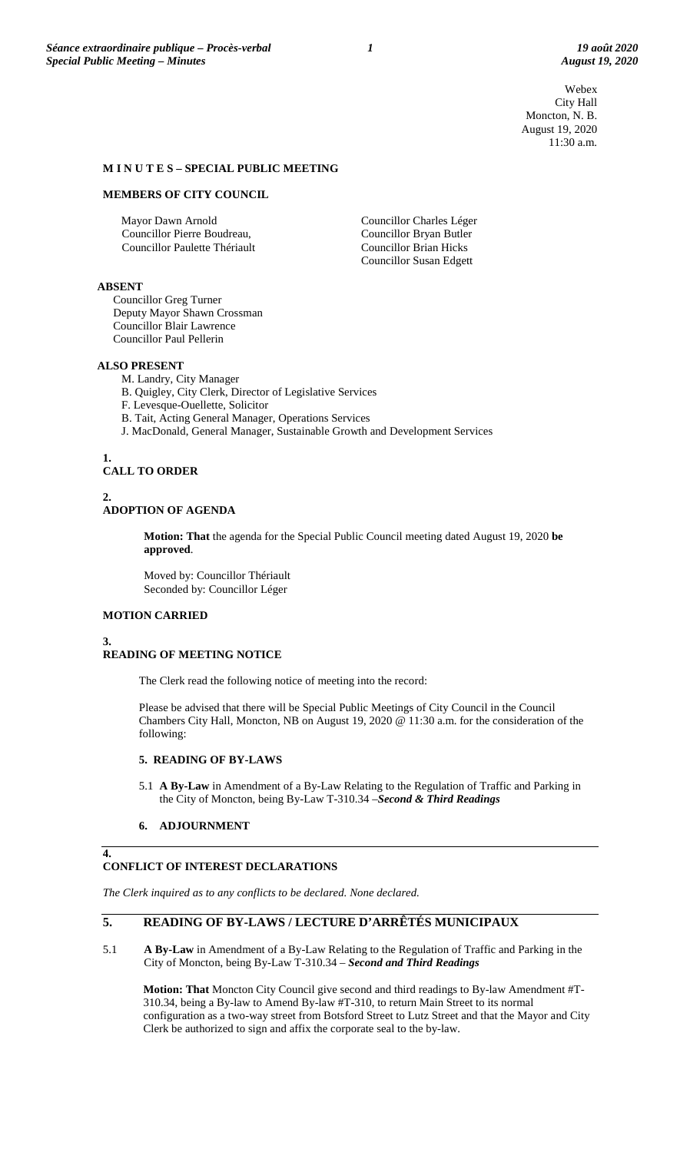Webex City Hall Moncton, N. B. August 19, 2020 11:30 a.m.

#### **M I N U T E S – SPECIAL PUBLIC MEETING**

#### **MEMBERS OF CITY COUNCIL**

Mayor Dawn Arnold Councillor Pierre Boudreau, Councillor Paulette Thériault

Councillor Charles Léger Councillor Bryan Butler Councillor Brian Hicks Councillor Susan Edgett

### **ABSENT**

Councillor Greg Turner Deputy Mayor Shawn Crossman Councillor Blair Lawrence Councillor Paul Pellerin

#### **ALSO PRESENT**

- M. Landry, City Manager
- B. Quigley, City Clerk, Director of Legislative Services
- F. Levesque-Ouellette, Solicitor
- B. Tait, Acting General Manager, Operations Services
- J. MacDonald, General Manager, Sustainable Growth and Development Services

## **1. CALL TO ORDER**

#### **2. ADOPTION OF AGENDA**

**Motion: That** the agenda for the Special Public Council meeting dated August 19, 2020 **be approved**.

Moved by: Councillor Thériault Seconded by: Councillor Léger

### **MOTION CARRIED**

### **3. READING OF MEETING NOTICE**

The Clerk read the following notice of meeting into the record:

Please be advised that there will be Special Public Meetings of City Council in the Council Chambers City Hall, Moncton, NB on August 19, 2020 @ 11:30 a.m. for the consideration of the following:

#### **5. READING OF BY-LAWS**

5.1 **A By-Law** in Amendment of a By-Law Relating to the Regulation of Traffic and Parking in the City of Moncton, being By-Law T-310.34 –*Second & Third Readings*

#### **6. ADJOURNMENT**

**4.**

# **CONFLICT OF INTEREST DECLARATIONS**

*The Clerk inquired as to any conflicts to be declared. None declared.*

# **5. READING OF BY-LAWS / LECTURE D'ARRÊTÉS MUNICIPAUX**

5.1 **A By-Law** in Amendment of a By-Law Relating to the Regulation of Traffic and Parking in the City of Moncton, being By-Law T-310.34 – *Second and Third Readings*

**Motion: That** Moncton City Council give second and third readings to By-law Amendment #T-310.34, being a By-law to Amend By-law #T-310, to return Main Street to its normal configuration as a two-way street from Botsford Street to Lutz Street and that the Mayor and City Clerk be authorized to sign and affix the corporate seal to the by-law.